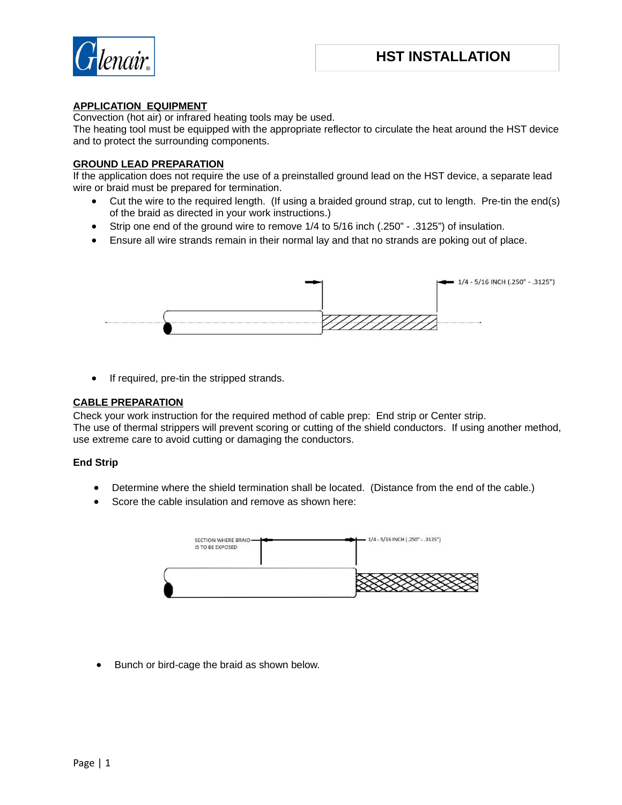

## **APPLICATION EQUIPMENT**

Convection (hot air) or infrared heating tools may be used.

The heating tool must be equipped with the appropriate reflector to circulate the heat around the HST device and to protect the surrounding components.

### **GROUND LEAD PREPARATION**

If the application does not require the use of a preinstalled ground lead on the HST device, a separate lead wire or braid must be prepared for termination.

- Cut the wire to the required length. (If using a braided ground strap, cut to length. Pre-tin the end(s) of the braid as directed in your work instructions.)
- Strip one end of the ground wire to remove 1/4 to 5/16 inch (.250" .3125") of insulation.
- Ensure all wire strands remain in their normal lay and that no strands are poking out of place.



• If required, pre-tin the stripped strands.

#### **CABLE PREPARATION**

Check your work instruction for the required method of cable prep: End strip or Center strip. The use of thermal strippers will prevent scoring or cutting of the shield conductors. If using another method,

use extreme care to avoid cutting or damaging the conductors.

### **End Strip**

- Determine where the shield termination shall be located. (Distance from the end of the cable.)
- Score the cable insulation and remove as shown here:



Bunch or bird-cage the braid as shown below.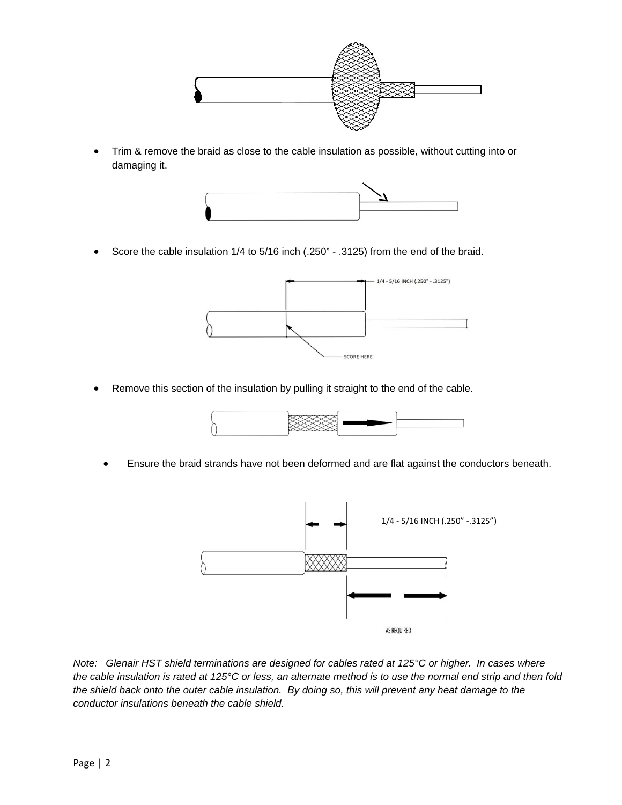

• Trim & remove the braid as close to the cable insulation as possible, without cutting into or damaging it.



Score the cable insulation 1/4 to 5/16 inch (.250" - .3125) from the end of the braid.



Remove this section of the insulation by pulling it straight to the end of the cable.



Ensure the braid strands have not been deformed and are flat against the conductors beneath.



*Note: Glenair HST shield terminations are designed for cables rated at 125°C or higher. In cases where the cable insulation is rated at 125°C or less, an alternate method is to use the normal end strip and then fold the shield back onto the outer cable insulation. By doing so, this will prevent any heat damage to the conductor insulations beneath the cable shield.*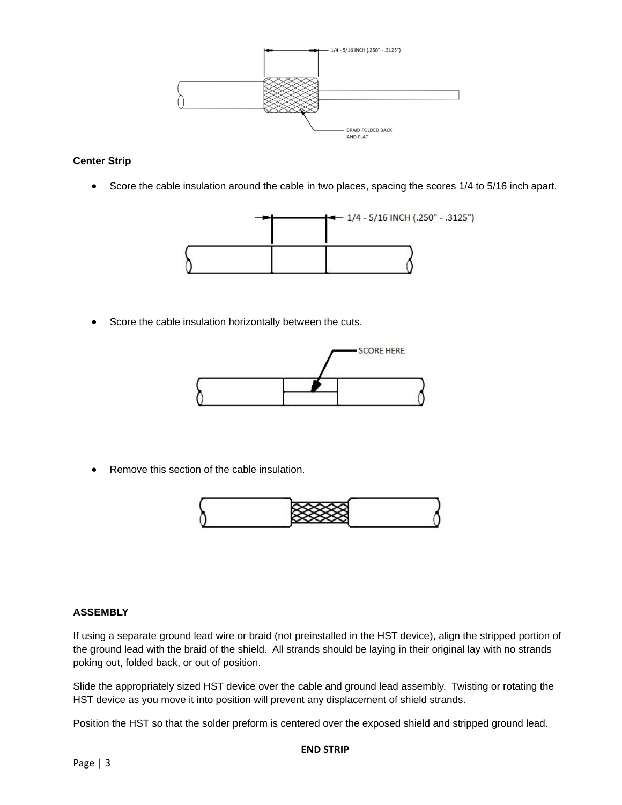

# **Center Strip**

• Score the cable insulation around the cable in two places, spacing the scores 1/4 to 5/16 inch apart.



Score the cable insulation horizontally between the cuts.



Remove this section of the cable insulation.



### **ASSEMBLY**

If using a separate ground lead wire or braid (not preinstalled in the HST device), align the stripped portion of the ground lead with the braid of the shield. All strands should be laying in their original lay with no strands poking out, folded back, or out of position.

Slide the appropriately sized HST device over the cable and ground lead assembly. Twisting or rotating the HST device as you move it into position will prevent any displacement of shield strands.

Position the HST so that the solder preform is centered over the exposed shield and stripped ground lead.